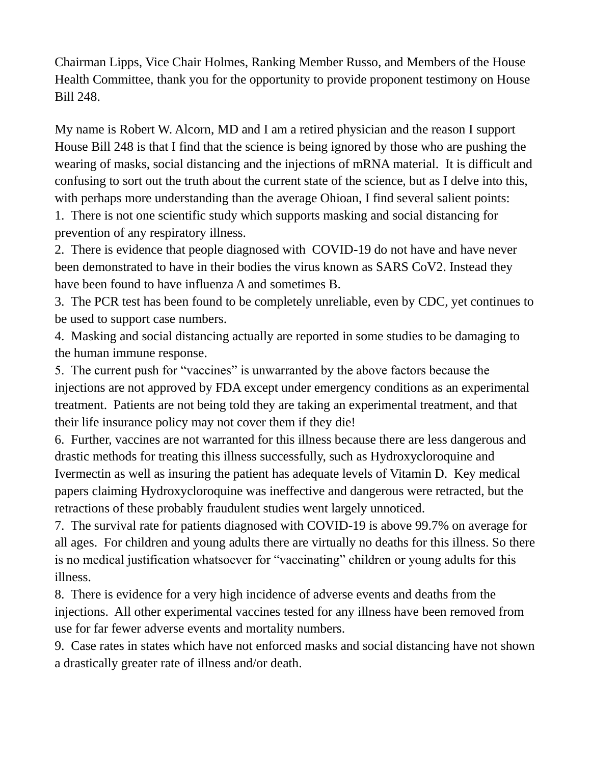Chairman Lipps, Vice Chair Holmes, Ranking Member Russo, and Members of the House Health Committee, thank you for the opportunity to provide proponent testimony on House Bill 248.

My name is Robert W. Alcorn, MD and I am a retired physician and the reason I support House Bill 248 is that I find that the science is being ignored by those who are pushing the wearing of masks, social distancing and the injections of mRNA material. It is difficult and confusing to sort out the truth about the current state of the science, but as I delve into this, with perhaps more understanding than the average Ohioan, I find several salient points:

1. There is not one scientific study which supports masking and social distancing for prevention of any respiratory illness.

2. There is evidence that people diagnosed with COVID-19 do not have and have never been demonstrated to have in their bodies the virus known as SARS CoV2. Instead they have been found to have influenza A and sometimes B.

3. The PCR test has been found to be completely unreliable, even by CDC, yet continues to be used to support case numbers.

4. Masking and social distancing actually are reported in some studies to be damaging to the human immune response.

5. The current push for "vaccines" is unwarranted by the above factors because the injections are not approved by FDA except under emergency conditions as an experimental treatment. Patients are not being told they are taking an experimental treatment, and that their life insurance policy may not cover them if they die!

6. Further, vaccines are not warranted for this illness because there are less dangerous and drastic methods for treating this illness successfully, such as Hydroxycloroquine and Ivermectin as well as insuring the patient has adequate levels of Vitamin D. Key medical papers claiming Hydroxycloroquine was ineffective and dangerous were retracted, but the retractions of these probably fraudulent studies went largely unnoticed.

7. The survival rate for patients diagnosed with COVID-19 is above 99.7% on average for all ages. For children and young adults there are virtually no deaths for this illness. So there is no medical justification whatsoever for "vaccinating" children or young adults for this illness.

8. There is evidence for a very high incidence of adverse events and deaths from the injections. All other experimental vaccines tested for any illness have been removed from use for far fewer adverse events and mortality numbers.

9. Case rates in states which have not enforced masks and social distancing have not shown a drastically greater rate of illness and/or death.